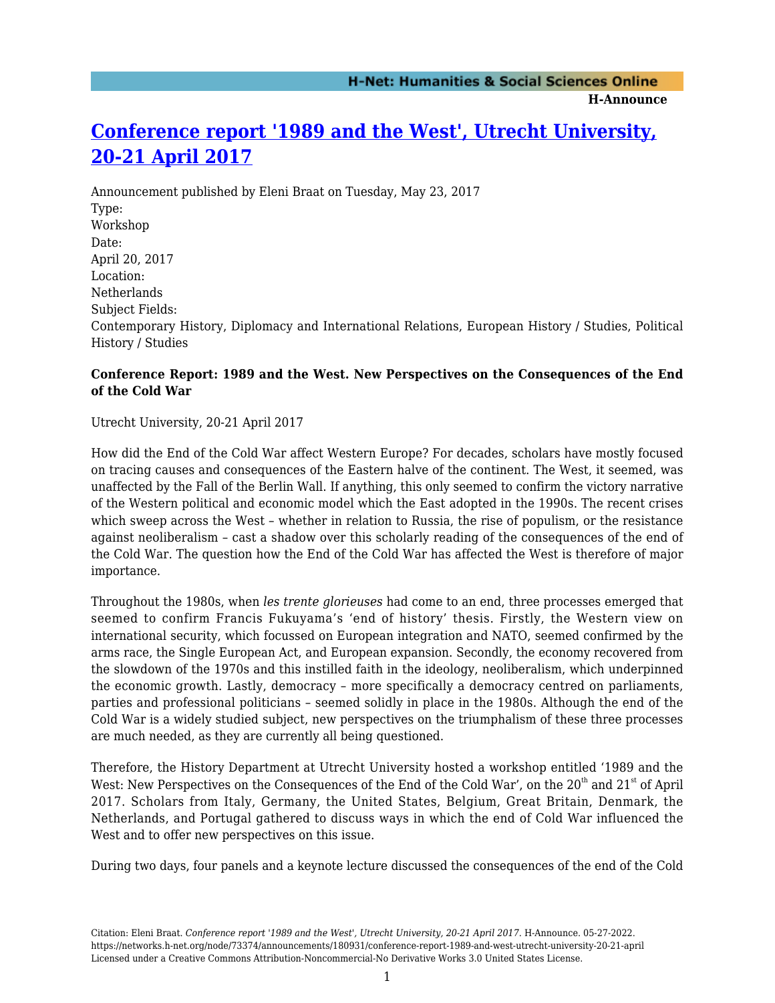**H-Announce** 

# **[Conference report '1989 and the West', Utrecht University,](https://networks.h-net.org/node/73374/announcements/180931/conference-report-1989-and-west-utrecht-university-20-21-april) [20-21 April 2017](https://networks.h-net.org/node/73374/announcements/180931/conference-report-1989-and-west-utrecht-university-20-21-april)**

Announcement published by Eleni Braat on Tuesday, May 23, 2017 Type: Workshop Date: April 20, 2017 Location: Netherlands Subject Fields: Contemporary History, Diplomacy and International Relations, European History / Studies, Political History / Studies

### **Conference Report: 1989 and the West. New Perspectives on the Consequences of the End of the Cold War**

Utrecht University, 20-21 April 2017

How did the End of the Cold War affect Western Europe? For decades, scholars have mostly focused on tracing causes and consequences of the Eastern halve of the continent. The West, it seemed, was unaffected by the Fall of the Berlin Wall. If anything, this only seemed to confirm the victory narrative of the Western political and economic model which the East adopted in the 1990s. The recent crises which sweep across the West – whether in relation to Russia, the rise of populism, or the resistance against neoliberalism – cast a shadow over this scholarly reading of the consequences of the end of the Cold War. The question how the End of the Cold War has affected the West is therefore of major importance.

Throughout the 1980s, when *les trente glorieuses* had come to an end, three processes emerged that seemed to confirm Francis Fukuyama's 'end of history' thesis. Firstly, the Western view on international security, which focussed on European integration and NATO, seemed confirmed by the arms race, the Single European Act, and European expansion. Secondly, the economy recovered from the slowdown of the 1970s and this instilled faith in the ideology, neoliberalism, which underpinned the economic growth. Lastly, democracy – more specifically a democracy centred on parliaments, parties and professional politicians – seemed solidly in place in the 1980s. Although the end of the Cold War is a widely studied subject, new perspectives on the triumphalism of these three processes are much needed, as they are currently all being questioned.

Therefore, the History Department at Utrecht University hosted a workshop entitled '1989 and the West: New Perspectives on the Consequences of the End of the Cold War', on the  $20<sup>th</sup>$  and  $21<sup>st</sup>$  of April 2017. Scholars from Italy, Germany, the United States, Belgium, Great Britain, Denmark, the Netherlands, and Portugal gathered to discuss ways in which the end of Cold War influenced the West and to offer new perspectives on this issue.

During two days, four panels and a keynote lecture discussed the consequences of the end of the Cold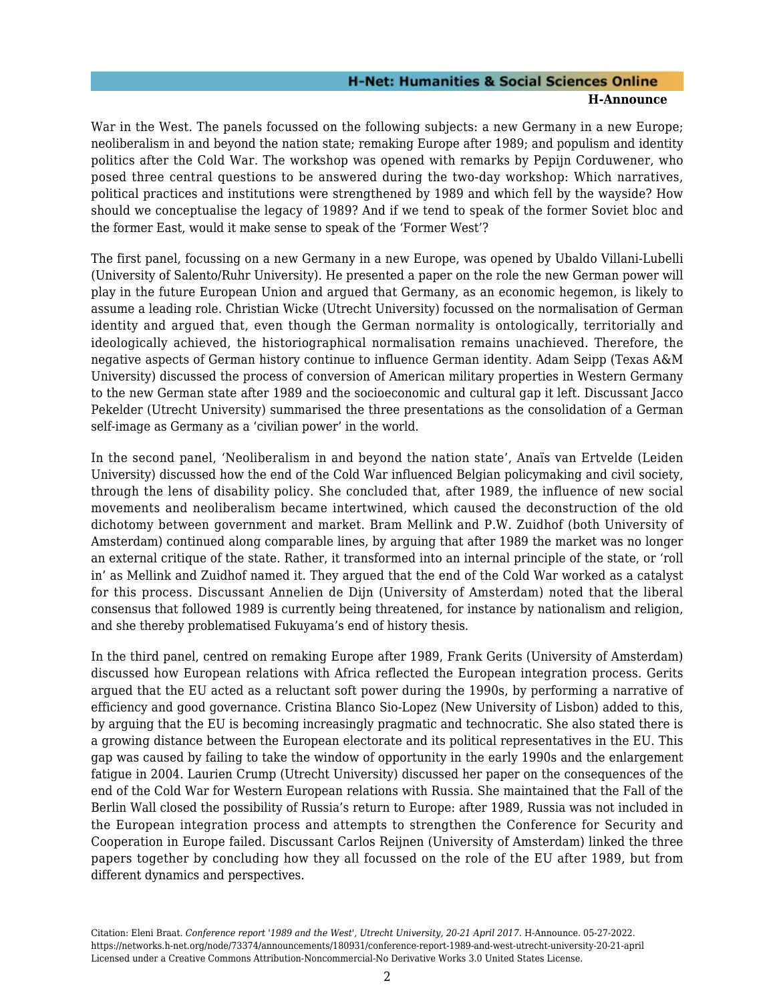#### **H-Net: Humanities & Social Sciences Online H-Announce**

War in the West. The panels focussed on the following subjects: a new Germany in a new Europe; neoliberalism in and beyond the nation state; remaking Europe after 1989; and populism and identity politics after the Cold War. The workshop was opened with remarks by Pepijn Corduwener, who posed three central questions to be answered during the two-day workshop: Which narratives, political practices and institutions were strengthened by 1989 and which fell by the wayside? How should we conceptualise the legacy of 1989? And if we tend to speak of the former Soviet bloc and the former East, would it make sense to speak of the 'Former West'?

The first panel, focussing on a new Germany in a new Europe, was opened by Ubaldo Villani-Lubelli (University of Salento/Ruhr University). He presented a paper on the role the new German power will play in the future European Union and argued that Germany, as an economic hegemon, is likely to assume a leading role. Christian Wicke (Utrecht University) focussed on the normalisation of German identity and argued that, even though the German normality is ontologically, territorially and ideologically achieved, the historiographical normalisation remains unachieved. Therefore, the negative aspects of German history continue to influence German identity. Adam Seipp (Texas A&M University) discussed the process of conversion of American military properties in Western Germany to the new German state after 1989 and the socioeconomic and cultural gap it left. Discussant Jacco Pekelder (Utrecht University) summarised the three presentations as the consolidation of a German self-image as Germany as a 'civilian power' in the world.

In the second panel, 'Neoliberalism in and beyond the nation state', Anaïs van Ertvelde (Leiden University) discussed how the end of the Cold War influenced Belgian policymaking and civil society, through the lens of disability policy. She concluded that, after 1989, the influence of new social movements and neoliberalism became intertwined, which caused the deconstruction of the old dichotomy between government and market. Bram Mellink and P.W. Zuidhof (both University of Amsterdam) continued along comparable lines, by arguing that after 1989 the market was no longer an external critique of the state. Rather, it transformed into an internal principle of the state, or 'roll in' as Mellink and Zuidhof named it. They argued that the end of the Cold War worked as a catalyst for this process. Discussant Annelien de Dijn (University of Amsterdam) noted that the liberal consensus that followed 1989 is currently being threatened, for instance by nationalism and religion, and she thereby problematised Fukuyama's end of history thesis.

In the third panel, centred on remaking Europe after 1989, Frank Gerits (University of Amsterdam) discussed how European relations with Africa reflected the European integration process. Gerits argued that the EU acted as a reluctant soft power during the 1990s, by performing a narrative of efficiency and good governance. Cristina Blanco Sio-Lopez (New University of Lisbon) added to this, by arguing that the EU is becoming increasingly pragmatic and technocratic. She also stated there is a growing distance between the European electorate and its political representatives in the EU. This gap was caused by failing to take the window of opportunity in the early 1990s and the enlargement fatigue in 2004. Laurien Crump (Utrecht University) discussed her paper on the consequences of the end of the Cold War for Western European relations with Russia. She maintained that the Fall of the Berlin Wall closed the possibility of Russia's return to Europe: after 1989, Russia was not included in the European integration process and attempts to strengthen the Conference for Security and Cooperation in Europe failed. Discussant Carlos Reijnen (University of Amsterdam) linked the three papers together by concluding how they all focussed on the role of the EU after 1989, but from different dynamics and perspectives.

Citation: Eleni Braat. *Conference report '1989 and the West', Utrecht University, 20-21 April 2017*. H-Announce. 05-27-2022. https://networks.h-net.org/node/73374/announcements/180931/conference-report-1989-and-west-utrecht-university-20-21-april Licensed under a Creative Commons Attribution-Noncommercial-No Derivative Works 3.0 United States License.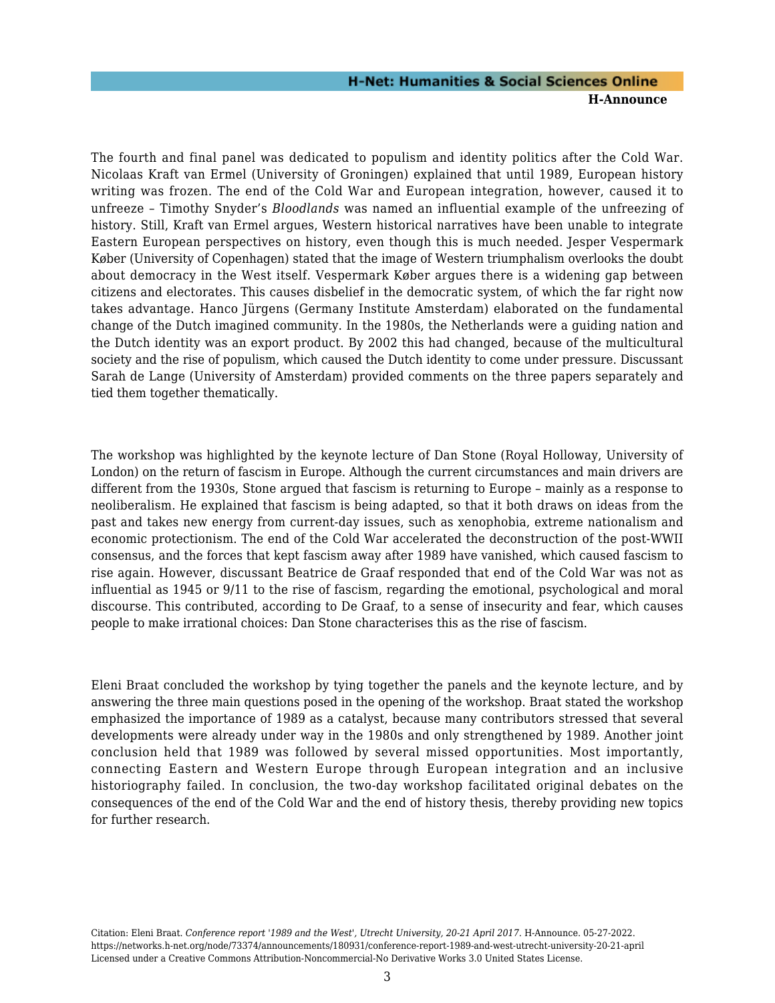#### **H-Net: Humanities & Social Sciences Online H-Announce**

The fourth and final panel was dedicated to populism and identity politics after the Cold War. Nicolaas Kraft van Ermel (University of Groningen) explained that until 1989, European history writing was frozen. The end of the Cold War and European integration, however, caused it to unfreeze – Timothy Snyder's *Bloodlands* was named an influential example of the unfreezing of history. Still, Kraft van Ermel argues, Western historical narratives have been unable to integrate Eastern European perspectives on history, even though this is much needed. Jesper Vespermark Køber (University of Copenhagen) stated that the image of Western triumphalism overlooks the doubt about democracy in the West itself. Vespermark Køber argues there is a widening gap between citizens and electorates. This causes disbelief in the democratic system, of which the far right now takes advantage. Hanco Jürgens (Germany Institute Amsterdam) elaborated on the fundamental change of the Dutch imagined community. In the 1980s, the Netherlands were a guiding nation and the Dutch identity was an export product. By 2002 this had changed, because of the multicultural society and the rise of populism, which caused the Dutch identity to come under pressure. Discussant Sarah de Lange (University of Amsterdam) provided comments on the three papers separately and tied them together thematically.

The workshop was highlighted by the keynote lecture of Dan Stone (Royal Holloway, University of London) on the return of fascism in Europe. Although the current circumstances and main drivers are different from the 1930s, Stone argued that fascism is returning to Europe – mainly as a response to neoliberalism. He explained that fascism is being adapted, so that it both draws on ideas from the past and takes new energy from current-day issues, such as xenophobia, extreme nationalism and economic protectionism. The end of the Cold War accelerated the deconstruction of the post-WWII consensus, and the forces that kept fascism away after 1989 have vanished, which caused fascism to rise again. However, discussant Beatrice de Graaf responded that end of the Cold War was not as influential as 1945 or 9/11 to the rise of fascism, regarding the emotional, psychological and moral discourse. This contributed, according to De Graaf, to a sense of insecurity and fear, which causes people to make irrational choices: Dan Stone characterises this as the rise of fascism.

Eleni Braat concluded the workshop by tying together the panels and the keynote lecture, and by answering the three main questions posed in the opening of the workshop. Braat stated the workshop emphasized the importance of 1989 as a catalyst, because many contributors stressed that several developments were already under way in the 1980s and only strengthened by 1989. Another joint conclusion held that 1989 was followed by several missed opportunities. Most importantly, connecting Eastern and Western Europe through European integration and an inclusive historiography failed. In conclusion, the two-day workshop facilitated original debates on the consequences of the end of the Cold War and the end of history thesis, thereby providing new topics for further research.

Citation: Eleni Braat. *Conference report '1989 and the West', Utrecht University, 20-21 April 2017*. H-Announce. 05-27-2022. https://networks.h-net.org/node/73374/announcements/180931/conference-report-1989-and-west-utrecht-university-20-21-april Licensed under a Creative Commons Attribution-Noncommercial-No Derivative Works 3.0 United States License.